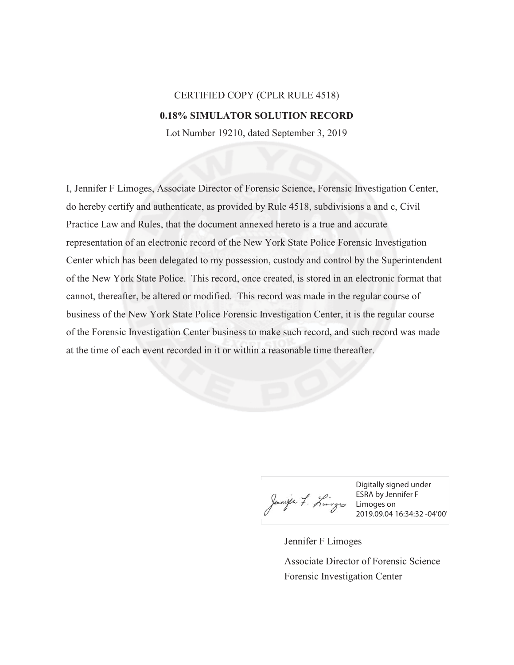## CERTIFIED COPY (CPLR RULE 4518) **0.18% SIMULATOR SOLUTION RECORD**

Lot Number 19210, dated September 3, 2019

I, Jennifer F Limoges, Associate Director of Forensic Science, Forensic Investigation Center, do hereby certify and authenticate, as provided by Rule 4518, subdivisions a and c, Civil Practice Law and Rules, that the document annexed hereto is a true and accurate representation of an electronic record of the New York State Police Forensic Investigation Center which has been delegated to my possession, custody and control by the Superintendent of the New York State Police. This record, once created, is stored in an electronic format that cannot, thereafter, be altered or modified. This record was made in the regular course of business of the New York State Police Forensic Investigation Center, it is the regular course of the Forensic Investigation Center business to make such record, and such record was made at the time of each event recorded in it or within a reasonable time thereafter.

Digitally signed under ESRA by Jennifer F Limoges on 2019.09.04 16:34:32 -04'00'

Jennifer F Limoges Forensic Investigation Center Associate Director of Forensic Science